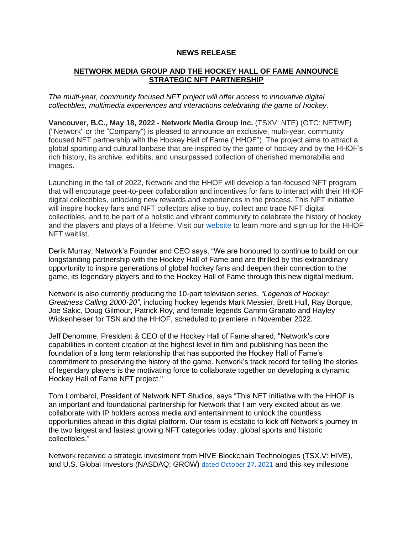### **NEWS RELEASE**

# **NETWORK MEDIA GROUP AND THE HOCKEY HALL OF FAME ANNOUNCE STRATEGIC NFT PARTNERSHIP**

*The multi-year, community focused NFT project will offer access to innovative digital collectibles, multimedia experiences and interactions celebrating the game of hockey.*

**Vancouver, B.C., May 18, 2022 - Network Media Group Inc.** (TSXV: NTE) (OTC: NETWF) ("Network" or the "Company") is pleased to announce an exclusive, multi-year, community focused NFT partnership with the Hockey Hall of Fame ("HHOF"). The project aims to attract a global sporting and cultural fanbase that are inspired by the game of hockey and by the HHOF's rich history, its archive, exhibits, and unsurpassed collection of cherished memorabilia and images.

Launching in the fall of 2022, Network and the HHOF will develop a fan-focused NFT program that will encourage peer-to-peer collaboration and incentives for fans to interact with their HHOF digital collectibles, unlocking new rewards and experiences in the process. This NFT initiative will inspire hockey fans and NFT collectors alike to buy, collect and trade NFT digital collectibles, and to be part of a holistic and vibrant community to celebrate the history of hockey and the players and plays of a lifetime. Visit our [website](http://networknft.ca/) to learn more and sign up for the HHOF NFT waitlist.

Derik Murray, Network's Founder and CEO says, "We are honoured to continue to build on our longstanding partnership with the Hockey Hall of Fame and are thrilled by this extraordinary opportunity to inspire generations of global hockey fans and deepen their connection to the game, its legendary players and to the Hockey Hall of Fame through this new digital medium.

Network is also currently producing the 10-part television series, *"Legends of Hockey: Greatness Calling 2000-20"*, including hockey legends Mark Messier, Brett Hull, Ray Borque, Joe Sakic, Doug Gilmour, Patrick Roy, and female legends Cammi Granato and Hayley Wickenheiser for TSN and the HHOF, scheduled to premiere in November 2022.

Jeff Denomme, President & CEO of the Hockey Hall of Fame shared, "Network's core capabilities in content creation at the highest level in film and publishing has been the foundation of a long term relationship that has supported the Hockey Hall of Fame's commitment to preserving the history of the game. Network's track record for telling the stories of legendary players is the motivating force to collaborate together on developing a dynamic Hockey Hall of Fame NFT project."

Tom Lombardi, President of Network NFT Studios, says "This NFT initiative with the HHOF is an important and foundational partnership for Network that I am very excited about as we collaborate with IP holders across media and entertainment to unlock the countless opportunities ahead in this digital platform. Our team is ecstatic to kick off Network's journey in the two largest and fastest growing NFT categories today; global sports and historic collectibles."

Network received a strategic investment from HIVE Blockchain Technologies (TSX.V: HIVE), and U.S. Global Investors (NASDAQ: GROW) [dated October 27, 2021](https://www.newswire.ca/news-releases/network-media-group-receives-strategic-investment-from-hive-blockchain-technologies-and-u-s-global-investors-for-nft-and-digital-content-initiatives-870302136.html) and this key milestone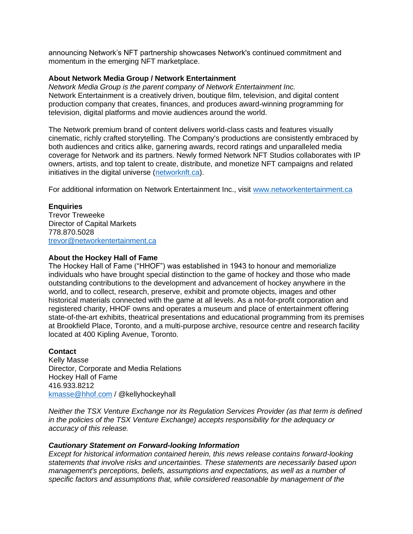announcing Network's NFT partnership showcases Network's continued commitment and momentum in the emerging NFT marketplace.

### **About Network Media Group / Network Entertainment**

*Network Media Group is the parent company of Network Entertainment Inc.* Network Entertainment is a creatively driven, boutique film, television, and digital content production company that creates, finances, and produces award-winning programming for television, digital platforms and movie audiences around the world.

The Network premium brand of content delivers world-class casts and features visually cinematic, richly crafted storytelling. The Company's productions are consistently embraced by both audiences and critics alike, garnering awards, record ratings and unparalleled media coverage for Network and its partners. Newly formed Network NFT Studios collaborates with IP owners, artists, and top talent to create, distribute, and monetize NFT campaigns and related initiatives in the digital universe [\(networknft.ca\)](http://networknft.ca/).

For additional information on Network Entertainment Inc., visit [www.networkentertainment.ca](http://www.networkentertainment.ca/)

# **Enquiries**

Trevor Treweeke Director of Capital Markets 778.870.5028 [trevor@networkentertainment.ca](mailto:trevor@networkentertainment.ca)

### **About the Hockey Hall of Fame**

The Hockey Hall of Fame ("HHOF") was established in 1943 to honour and memorialize individuals who have brought special distinction to the game of hockey and those who made outstanding contributions to the development and advancement of hockey anywhere in the world, and to collect, research, preserve, exhibit and promote objects, images and other historical materials connected with the game at all levels. As a not-for-profit corporation and registered charity, HHOF owns and operates a museum and place of entertainment offering state-of-the-art exhibits, theatrical presentations and educational programming from its premises at Brookfield Place, Toronto, and a multi-purpose archive, resource centre and research facility located at 400 Kipling Avenue, Toronto.

# **Contact**

Kelly Masse Director, Corporate and Media Relations Hockey Hall of Fame 416.933.8212 [kmasse@hhof.com](mailto:kmasse@hhof.com) / @kellyhockeyhall

*Neither the TSX Venture Exchange nor its Regulation Services Provider (as that term is defined in the policies of the TSX Venture Exchange) accepts responsibility for the adequacy or accuracy of this release.*

### *Cautionary Statement on Forward-looking Information*

*Except for historical information contained herein, this news release contains forward-looking statements that involve risks and uncertainties. These statements are necessarily based upon management's perceptions, beliefs, assumptions and expectations, as well as a number of specific factors and assumptions that, while considered reasonable by management of the*